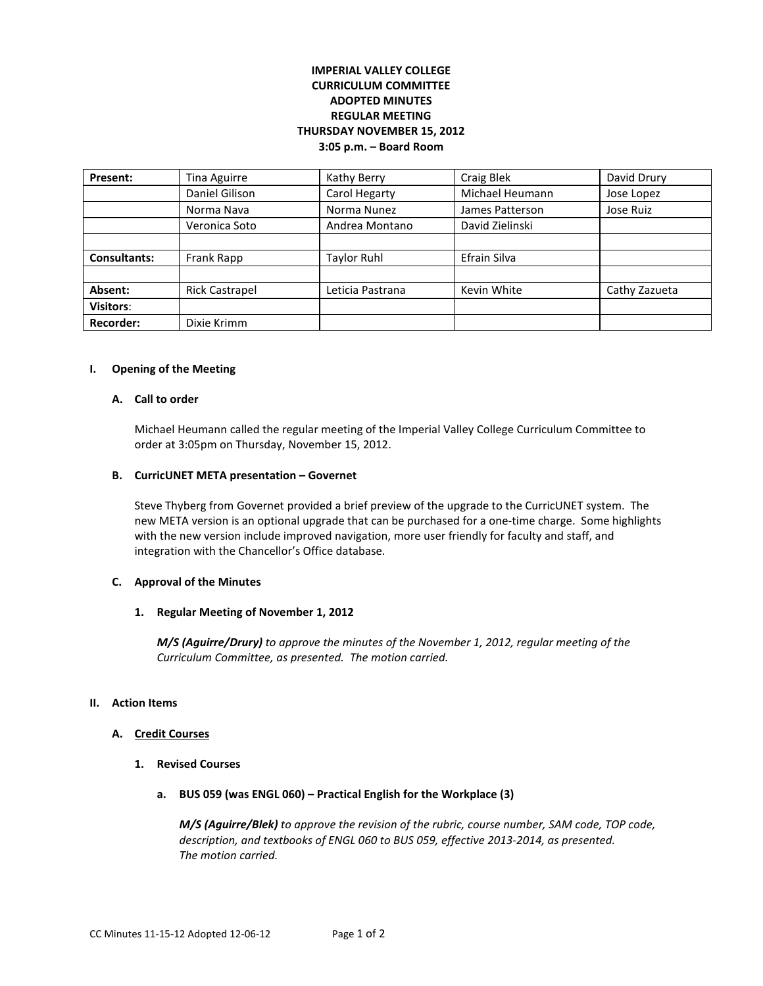# **IMPERIAL VALLEY COLLEGE CURRICULUM COMMITTEE ADOPTED MINUTES REGULAR MEETING THURSDAY NOVEMBER 15, 2012 3:05 p.m. – Board Room**

| Present:            | Tina Aguirre          | Kathy Berry      | Craig Blek      | David Drury   |
|---------------------|-----------------------|------------------|-----------------|---------------|
|                     | Daniel Gilison        | Carol Hegarty    | Michael Heumann | Jose Lopez    |
|                     | Norma Nava            | Norma Nunez      | James Patterson | Jose Ruiz     |
|                     | Veronica Soto         | Andrea Montano   | David Zielinski |               |
|                     |                       |                  |                 |               |
| <b>Consultants:</b> | Frank Rapp            | Taylor Ruhl      | Efrain Silva    |               |
|                     |                       |                  |                 |               |
| Absent:             | <b>Rick Castrapel</b> | Leticia Pastrana | Kevin White     | Cathy Zazueta |
| Visitors:           |                       |                  |                 |               |
| Recorder:           | Dixie Krimm           |                  |                 |               |

## **I. Opening of the Meeting**

## **A. Call to order**

Michael Heumann called the regular meeting of the Imperial Valley College Curriculum Committee to order at 3:05pm on Thursday, November 15, 2012.

## **B. CurricUNET META presentation – Governet**

Steve Thyberg from Governet provided a brief preview of the upgrade to the CurricUNET system. The new META version is an optional upgrade that can be purchased for a one-time charge. Some highlights with the new version include improved navigation, more user friendly for faculty and staff, and integration with the Chancellor's Office database.

## **C. Approval of the Minutes**

## **1. Regular Meeting of November 1, 2012**

*M/S (Aguirre/Drury) to approve the minutes of the November 1, 2012, regular meeting of the Curriculum Committee, as presented. The motion carried.* 

#### **II. Action Items**

## **A. Credit Courses**

- **1. Revised Courses**
	- **a. BUS 059 (was ENGL 060) – Practical English for the Workplace (3)**

*M/S (Aguirre/Blek) to approve the revision of the rubric, course number, SAM code, TOP code, description, and textbooks of ENGL 060 to BUS 059, effective 2013-2014, as presented. The motion carried.*